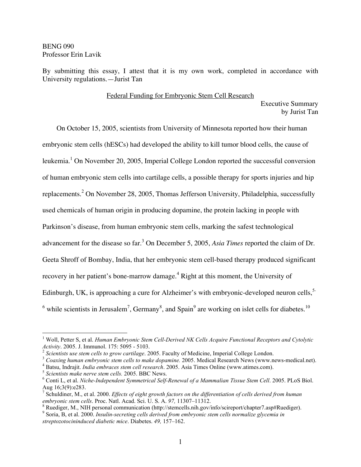BENG 090 Professor Erin Lavik

By submitting this essay, I attest that it is my own work, completed in accordance with University regulations.—Jurist Tan

## Federal Funding for Embryonic Stem Cell Research Executive Summary

by Jurist Tan

On October 15, 2005, scientists from University of Minnesota reported how their human embryonic stem cells (hESCs) had developed the ability to kill tumor blood cells, the cause of leukemia.<sup>1</sup> On November 20, 2005, Imperial College London reported the successful conversion of human embryonic stem cells into cartilage cells, a possible therapy for sports injuries and hip replacements.<sup>2</sup> On November 28, 2005, Thomas Jefferson University, Philadelphia, successfully used chemicals of human origin in producing dopamine, the protein lacking in people with Parkinson's disease, from human embryonic stem cells, marking the safest technological advancement for the disease so far. 3 On December 5, 2005, *Asia Times* reported the claim of Dr. Geeta Shroff of Bombay, India, that her embryonic stem cell-based therapy produced significant recovery in her patient's bone-marrow damage.<sup>4</sup> Right at this moment, the University of Edinburgh, UK, is approaching a cure for Alzheimer's with embryonic-developed neuron cells,  $5$ -<sup>6</sup> while scientists in Jerusalem<sup>7</sup>, Germany<sup>8</sup>, and Spain<sup>9</sup> are working on islet cells for diabetes.<sup>10</sup>

 <sup>1</sup> Woll, Petter S, et al. *Human Embryonic Stem Cell-Derived NK Cells Acquire Functional Receptors and Cytolytic*

<sup>&</sup>lt;sup>2</sup> Scientists use stem cells to grow cartilage. 2005. Faculty of Medicine, Imperial College London.<br><sup>3</sup> Coaxing human embryonic stem cells to make dopamine. 2005. Medical Research News (www.news-medical.net).<br><sup>4</sup> Batsu,

Aug 16;3(9):e283. <sup>7</sup> Schuldiner, M., et al. 2000. *Effects of eight growth factors on the differentiation of cells derived from human*

embryonic stem cells. Proc. Natl. Acad. Sci. U. S. A. 97, 11307-11312.<br><sup>8</sup> Ruediger, M., NIH personal communication (http://stemcells.nih.gov/info/scireport/chapter7.asp#Ruediger).<br><sup>9</sup> Soria, B, et al. 2000. *Insulin-secre* 

*streptozotocininduced diabetic mice*. Diabetes. *49,* 157–162.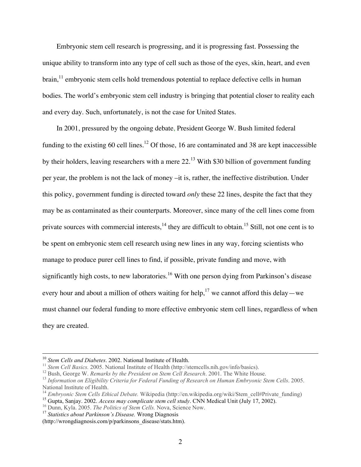Embryonic stem cell research is progressing, and it is progressing fast. Possessing the unique ability to transform into any type of cell such as those of the eyes, skin, heart, and even brain,<sup>11</sup> embryonic stem cells hold tremendous potential to replace defective cells in human bodies. The world's embryonic stem cell industry is bringing that potential closer to reality each and every day. Such, unfortunately, is not the case for United States.

In 2001, pressured by the ongoing debate, President George W. Bush limited federal funding to the existing 60 cell lines.<sup>12</sup> Of those, 16 are contaminated and 38 are kept inaccessible by their holders, leaving researchers with a mere  $22<sup>13</sup>$  With \$30 billion of government funding per year, the problem is not the lack of money –it is, rather, the ineffective distribution. Under this policy, government funding is directed toward *only* these 22 lines, despite the fact that they may be as contaminated as their counterparts. Moreover, since many of the cell lines come from private sources with commercial interests, <sup>14</sup> they are difficult to obtain.<sup>15</sup> Still, not one cent is to be spent on embryonic stem cell research using new lines in any way, forcing scientists who manage to produce purer cell lines to find, if possible, private funding and move, with significantly high costs, to new laboratories.<sup>16</sup> With one person dying from Parkinson's disease every hour and about a million of others waiting for help,<sup>17</sup> we cannot afford this delay—we must channel our federal funding to more effective embryonic stem cell lines, regardless of when they are created.

<sup>&</sup>lt;sup>10</sup> Stem Cells and Diabetes. 2002. National Institute of Health.<br><sup>11</sup> Stem Cell Basics. 2005. National Institute of Health (http://stemcells.nih.gov/info/basics).<br><sup>12</sup> Bush, George W. *Remarks by the President on Stem Ce* 

<sup>&</sup>lt;sup>14</sup> Embryonic Stem Cells Ethical Debate. Wikipedia (http://en.wikipedia.org/wiki/Stem\_cell#Private\_funding)<br><sup>15</sup> Gupta, Sanjay. 2002. *Access may complicate stem cell study*. CNN Medical Unit (July 17, 2002).<br><sup>16</sup> Dunn,

<sup>(</sup>http://wrongdiagnosis.com/p/parkinsons\_disease/stats.htm).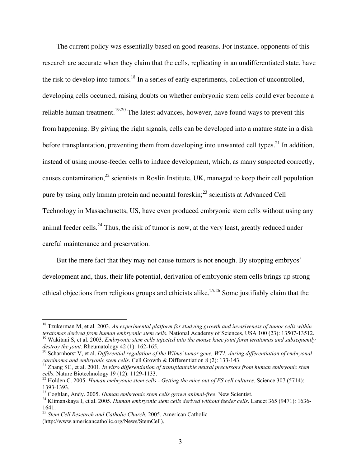The current policy was essentially based on good reasons. For instance, opponents of this research are accurate when they claim that the cells, replicating in an undifferentiated state, have the risk to develop into tumors.<sup>18</sup> In a series of early experiments, collection of uncontrolled, developing cells occurred, raising doubts on whether embryonic stem cells could ever become a reliable human treatment.<sup>19-20</sup> The latest advances, however, have found ways to prevent this from happening. By giving the right signals, cells can be developed into a mature state in a dish before transplantation, preventing them from developing into unwanted cell types.<sup>21</sup> In addition, instead of using mouse-feeder cells to induce development, which, as many suspected correctly, causes contamination,<sup>22</sup> scientists in Roslin Institute, UK, managed to keep their cell population pure by using only human protein and neonatal foreskin;<sup>23</sup> scientists at Advanced Cell Technology in Massachusetts, US, have even produced embryonic stem cells without using any animal feeder cells.<sup>24</sup> Thus, the risk of tumor is now, at the very least, greatly reduced under careful maintenance and preservation.

But the mere fact that they may not cause tumors is not enough. By stopping embryos' development and, thus, their life potential, derivation of embryonic stem cells brings up strong ethical objections from religious groups and ethicists alike.<sup>25.26</sup> Some justifiably claim that the

 <sup>18</sup> Tzukerman M, et al. 2003. *An experimental platform for studying growth and invasiveness of tumor cells within* teratomas derived from human embryonic stem cells. National Academy of Sciences, USA 100 (23): 13507-13512.<br><sup>19</sup> Wakitani S, et al. 2003. *Embryonic stem cells injected into the mouse knee joint form teratomas and subseque* 

destroy the joint. Rheumatology 42 (1): 162-165.<br><sup>20</sup> Scharnhorst V, et al. *Differential regulation of the Wilms' tumor gene, WT1, during differentiation of embryonal* carcinoma and embryonic stem cells. Cell Growth & Dif

 $^{21}$  Zhang SC, et al. 2001. In vitro differentiation of transplantable neural precursors from human embryonic stem cells. Nature Biotechnology 19 (12): 1129-1133.<br><sup>22</sup> Holden C. 2005. *Human embryonic stem cells - Getting the mice out of ES cell cultures*. Science 307 (5714):

<sup>1393-1393.&</sup>lt;br><sup>23</sup> Coghlan, Andy. 2005. *Human embryonic stem cells grown animal-free*. New Scientist.<br><sup>24</sup> Klimanskaya I, et al. 2005. *Human embryonic stem cells derived without feeder cells*. Lancet 365 (9471): 1636-

<sup>1641.</sup> <sup>25</sup> *Stem Cell Research and Catholic Church.* 2005. American Catholic

<sup>(</sup>http://www.americancatholic.org/News/StemCell).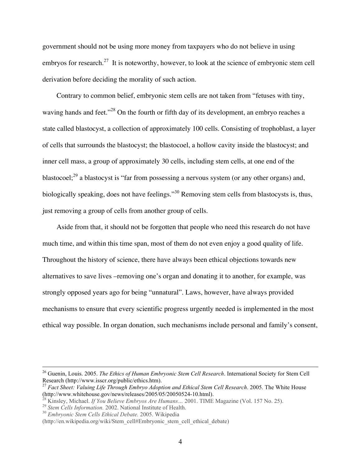government should not be using more money from taxpayers who do not believe in using embryos for research.<sup>27</sup> It is noteworthy, however, to look at the science of embryonic stem cell derivation before deciding the morality of such action.

Contrary to common belief, embryonic stem cells are not taken from "fetuses with tiny, waving hands and feet."<sup>28</sup> On the fourth or fifth day of its development, an embryo reaches a state called blastocyst, a collection of approximately 100 cells. Consisting of trophoblast, a layer of cells that surrounds the blastocyst; the blastocoel, a hollow cavity inside the blastocyst; and inner cell mass, a group of approximately 30 cells, including stem cells, at one end of the blastocoel;<sup>29</sup> a blastocyst is "far from possessing a nervous system (or any other organs) and, biologically speaking, does not have feelings."<sup>30</sup> Removing stem cells from blastocysts is, thus, just removing a group of cells from another group of cells.

Aside from that, it should not be forgotten that people who need this research do not have much time, and within this time span, most of them do not even enjoy a good quality of life. Throughout the history of science, there have always been ethical objections towards new alternatives to save lives –removing one's organ and donating it to another, for example, was strongly opposed years ago for being "unnatural". Laws, however, have always provided mechanisms to ensure that every scientific progress urgently needed is implemented in the most ethical way possible. In organ donation, such mechanisms include personal and family's consent,

<sup>&</sup>lt;sup>26</sup> Guenin, Louis. 2005. *The Ethics of Human Embryonic Stem Cell Research*. International Society for Stem Cell Research (http://www.isscr.org/public/ethics.htm).

<sup>&</sup>lt;sup>27</sup> Fact Sheet: Valuing Life Through Embryo Adoption and Ethical Stem Cell Research. 2005. The White House (http://www.whitehouse.gov/news/releases/2005/05/20050524-10.html).

<sup>&</sup>lt;sup>28</sup> Kinsley, Michael. *If You Believe Embryos Are Humans...* 2001. TIME Magazine (Vol. 157 No. 25).<br><sup>29</sup> Stem Cells Information. 2002. National Institute of Health.<br><sup>30</sup> Embryonic Stem Cells Ethical Debate. 2005. Wikiped

<sup>(</sup>http://en.wikipedia.org/wiki/Stem\_cell#Embryonic\_stem\_cell\_ethical\_debate)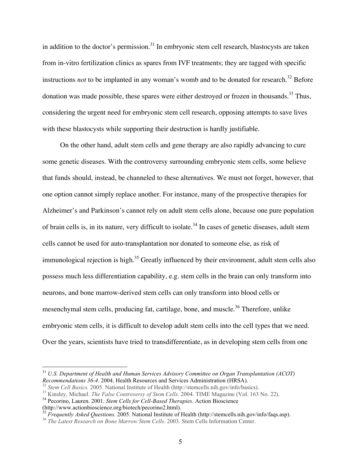in addition to the doctor's permission.<sup>31</sup> In embryonic stem cell research, blastocysts are taken from in-vitro fertilization clinics as spares from IVF treatments; they are tagged with specific instructions *not* to be implanted in any woman's womb and to be donated for research.<sup>32</sup> Before donation was made possible, these spares were either destroyed or frozen in thousands.<sup>33</sup> Thus, considering the urgent need for embryonic stem cell research, opposing attempts to save lives with these blastocysts while supporting their destruction is hardly justifiable.

On the other hand, adult stem cells and gene therapy are also rapidly advancing to cure some genetic diseases. With the controversy surrounding embryonic stem cells, some believe that funds should, instead, be channeled to these alternatives. We must not forget, however, that one option cannot simply replace another. For instance, many of the prospective therapies for Alzheimer's and Parkinson's cannot rely on adult stem cells alone, because one pure population of brain cells is, in its nature, very difficult to isolate.<sup>34</sup> In cases of genetic diseases, adult stem cells cannot be used for auto-transplantation nor donated to someone else, as risk of immunological rejection is high. $35$  Greatly influenced by their environment, adult stem cells also possess much less differentiation capability, e.g. stem cells in the brain can only transform into neurons, and bone marrow-derived stem cells can only transform into blood cells or mesenchymal stem cells, producing fat, cartilage, bone, and muscle.<sup>36</sup> Therefore, unlike embryonic stem cells, it is difficult to develop adult stem cells into the cell types that we need. Over the years, scientists have tried to transdifferentiate, as in developing stem cells from one

 <sup>31</sup> *U.S. Department of Health and Human Services Advisory Committee on Organ Transplantation (ACOT)*

<sup>&</sup>lt;sup>32</sup> Stem Cell Basics. 2005. National Institute of Health (http://stemcells.nih.gov/info/basics).<br><sup>33</sup> Kinsley, Michael. *The False Controversy of Stem Cells.* 2004. TIME Magazine (Vol. 163 No. 22).<br><sup>34</sup> Pecorino, Lauren.

<sup>(</sup>http://www.actionbioscience.org/biotech/pecorino2.html).<br><sup>35</sup> Frequently Asked Questions. 2005. National Institute of Health (http://stemcells.nih.gov/info/faqs.asp).<br><sup>36</sup> The Latest Research on Bone Marrow Stem Cells. 20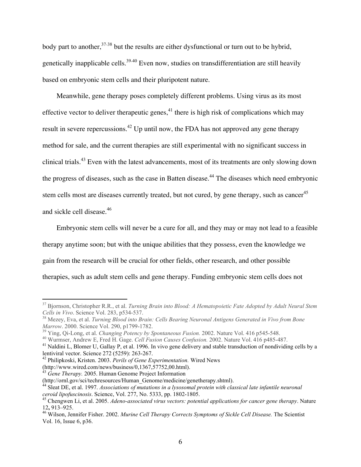body part to another,<sup>37-38</sup> but the results are either dysfunctional or turn out to be hybrid, genetically inapplicable cells.<sup>39.40</sup> Even now, studies on transdifferentiation are still heavily based on embryonic stem cells and their pluripotent nature.

Meanwhile, gene therapy poses completely different problems. Using virus as its most effective vector to deliver therapeutic genes,  $41$  there is high risk of complications which may result in severe repercussions.<sup>42</sup> Up until now, the FDA has not approved any gene therapy method for sale, and the current therapies are still experimental with no significant success in clinical trials.<sup>43</sup> Even with the latest advancements, most of its treatments are only slowing down the progress of diseases, such as the case in Batten disease.<sup>44</sup> The diseases which need embryonic stem cells most are diseases currently treated, but not cured, by gene therapy, such as cancer<sup>45</sup> and sickle cell disease. 46

Embryonic stem cells will never be a cure for all, and they may or may not lead to a feasible therapy anytime soon; but with the unique abilities that they possess, even the knowledge we gain from the research will be crucial for other fields, other research, and other possible therapies, such as adult stem cells and gene therapy. Funding embryonic stem cells does not

 <sup>37</sup> Bjornson, Christopher R.R., et al. *Turning Brain into Blood: <sup>A</sup> Hematopoietic Fate Adopted by Adult Neural Stem* Cells in Vivo. Science Vol. 283, p534-537.<br><sup>38</sup> Mezey, Eva, et al. *Turning Blood into Brain: Cells Bearing Neuronal Antigens Generated in Vivo from Bone* 

Marrow. 2000. Science Vol. 290, p1799-1782.<br><sup>39</sup> Ying, Qi-Long, et al. *Changing Potency by Spontaneous Fusion*. 2002. Nature Vol. 416 p545-548.<br><sup>40</sup> Wurmser, Andrew E, Fred H. Gage. *Cell Fusion Causes Confusion*. 2002. N

<sup>&</sup>lt;sup>42</sup> Philipkoski, Kristen. 2003. *Perils of Gene Experimentation*. Wired News (http://www.wired.com/news/business/0,1367,57752,00.html).

<sup>&</sup>lt;sup>43</sup> Gene Therapy. 2005. Human Genome Project Information

<sup>(</sup>http://ornl.gov/sci/techresources/Human\_Genome/medicine/genetherapy.shtml).<br><sup>44</sup> Sleat DE, et al. 1997. Associations of mutations in a lysosomal protein with classical late infantile neuronal<br>ceroid lipofuscinosis. Scienc

<sup>&</sup>lt;sup>45</sup> Chengwen Li, et al. 2005. *Adeno-associated virus vectors: potential applications for cancer gene therapy*. Nature  $12, 913-925$ .

<sup>12</sup>**,** 913–925. <sup>46</sup> Wilson, Jennifer Fisher. 2002. *Murine Cell Therapy Corrects Symptoms of Sickle Cell Disease.* The Scientist Vol. 16, Issue 6, p36.